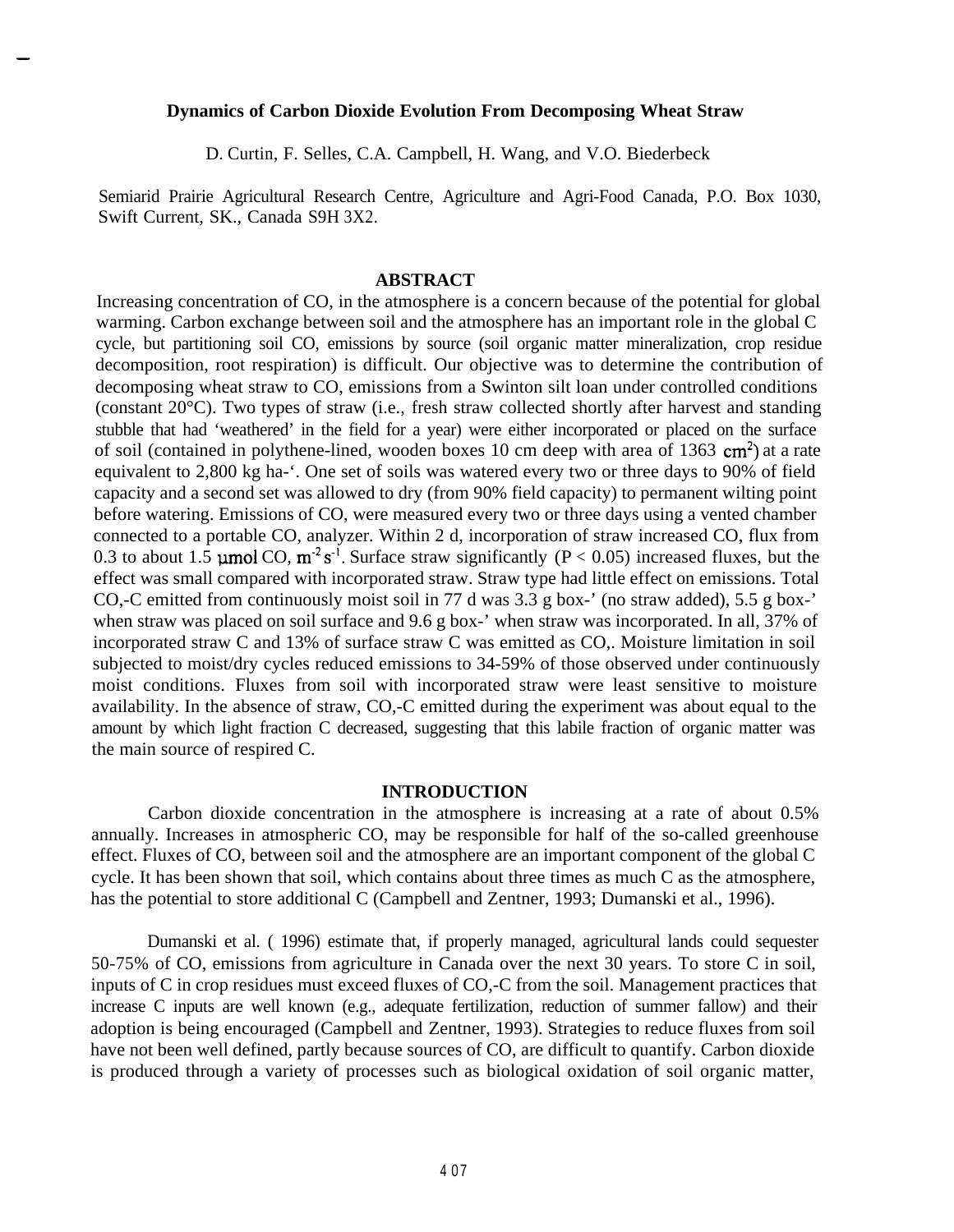#### **Dynamics of Carbon Dioxide Evolution From Decomposing Wheat Straw**

D. Curtin, F. Selles, C.A. Campbell, H. Wang, and V.O. Biederbeck

Semiarid Prairie Agricultural Research Centre, Agriculture and Agri-Food Canada, P.O. Box 1030, Swift Current, SK., Canada S9H 3X2.

### **ABSTRACT**

Increasing concentration of CO, in the atmosphere is a concern because of the potential for global warming. Carbon exchange between soil and the atmosphere has an important role in the global C cycle, but partitioning soil CO, emissions by source (soil organic matter mineralization, crop residue decomposition, root respiration) is difficult. Our objective was to determine the contribution of decomposing wheat straw to CO, emissions from a Swinton silt loan under controlled conditions (constant 20°C). Two types of straw (i.e., fresh straw collected shortly after harvest and standing stubble that had 'weathered' in the field for a year) were either incorporated or placed on the surface of soil (contained in polythene-lined, wooden boxes 10 cm deep with area of 1363  $cm<sup>2</sup>$ ) at a rate equivalent to 2,800 kg ha-'. One set of soils was watered every two or three days to 90% of field capacity and a second set was allowed to dry (from 90% field capacity) to permanent wilting point before watering. Emissions of CO, were measured every two or three days using a vented chamber connected to a portable CO, analyzer. Within 2 d, incorporation of straw increased CO, flux from 0.3 to about 1.5 **µmol** CO,  $m^2 s^{-1}$ . Surface straw significantly (P < 0.05) increased fluxes, but the effect was small compared with incorporated straw. Straw type had little effect on emissions. Total CO,-C emitted from continuously moist soil in 77 d was 3.3 g box-' (no straw added), 5.5 g box-' when straw was placed on soil surface and 9.6 g box-' when straw was incorporated. In all, 37% of incorporated straw C and 13% of surface straw C was emitted as CO,. Moisture limitation in soil subjected to moist/dry cycles reduced emissions to 34-59% of those observed under continuously moist conditions. Fluxes from soil with incorporated straw were least sensitive to moisture availability. In the absence of straw, CO,-C emitted during the experiment was about equal to the amount by which light fraction C decreased, suggesting that this labile fraction of organic matter was the main source of respired C.

## **INTRODUCTION**

Carbon dioxide concentration in the atmosphere is increasing at a rate of about 0.5% annually. Increases in atmospheric CO, may be responsible for half of the so-called greenhouse effect. Fluxes of CO, between soil and the atmosphere are an important component of the global C cycle. It has been shown that soil, which contains about three times as much C as the atmosphere, has the potential to store additional C (Campbell and Zentner, 1993; Dumanski et al., 1996).

Dumanski et al. ( 1996) estimate that, if properly managed, agricultural lands could sequester 50-75% of CO, emissions from agriculture in Canada over the next 30 years. To store C in soil, inputs of C in crop residues must exceed fluxes of CO,-C from the soil. Management practices that increase C inputs are well known (e.g., adequate fertilization, reduction of summer fallow) and their adoption is being encouraged (Campbell and Zentner, 1993). Strategies to reduce fluxes from soil have not been well defined, partly because sources of CO, are difficult to quantify. Carbon dioxide is produced through a variety of processes such as biological oxidation of soil organic matter,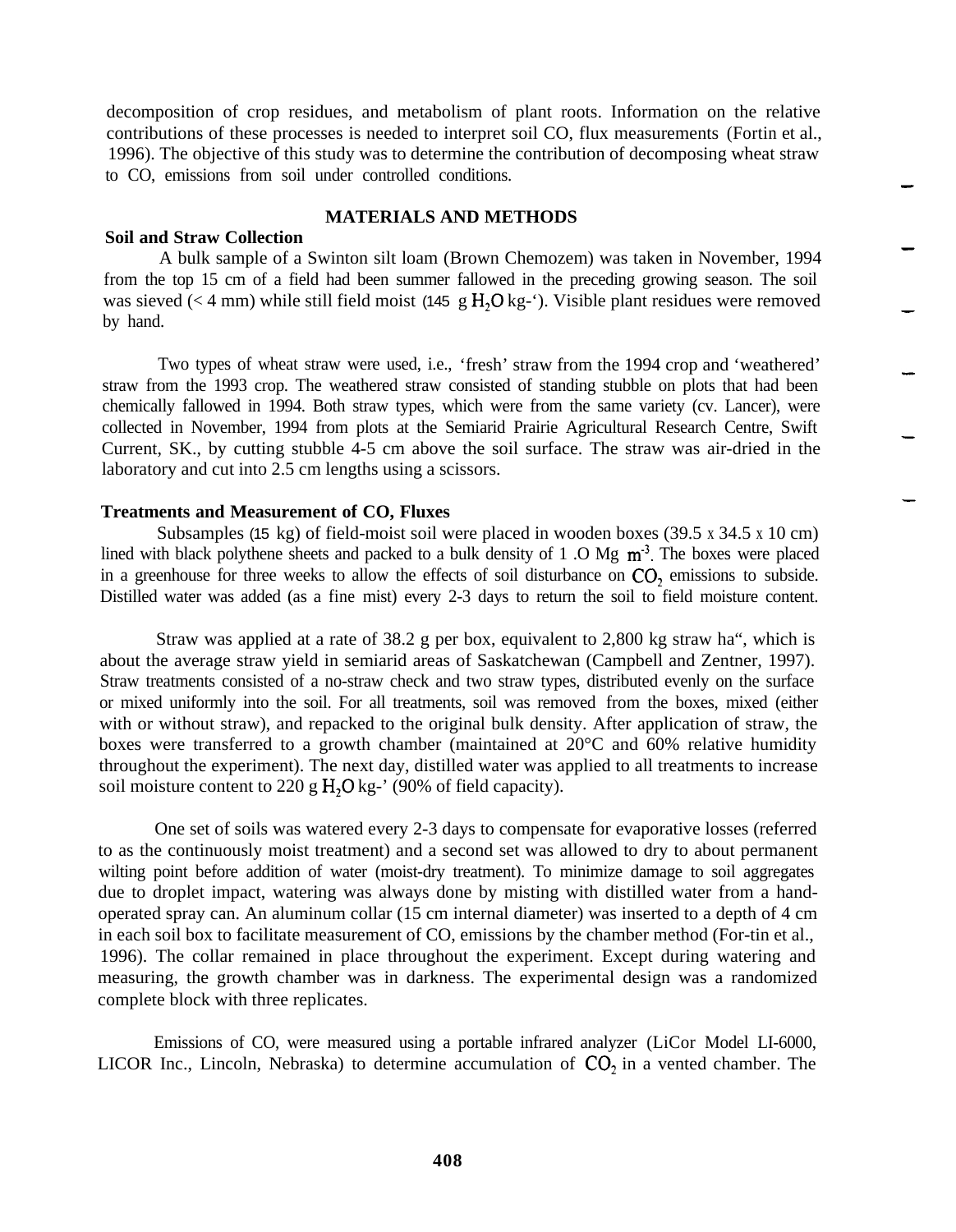decomposition of crop residues, and metabolism of plant roots. Information on the relative contributions of these processes is needed to interpret soil CO, flux measurements (Fortin et al., 1996). The objective of this study was to determine the contribution of decomposing wheat straw to CO, emissions from soil under controlled conditions.

# **MATERIALS AND METHODS**

### **Soil and Straw Collection**

A bulk sample of a Swinton silt loam (Brown Chemozem) was taken in November, 1994 from the top 15 cm of a field had been summer fallowed in the preceding growing season. The soil was sieved ( $\lt$  4 mm) while still field moist (145 g H<sub>2</sub>O kg- $\cdot$ ). Visible plant residues were removed by hand.

Two types of wheat straw were used, i.e., 'fresh' straw from the 1994 crop and 'weathered' straw from the 1993 crop. The weathered straw consisted of standing stubble on plots that had been chemically fallowed in 1994. Both straw types, which were from the same variety (cv. Lancer), were collected in November, 1994 from plots at the Semiarid Prairie Agricultural Research Centre, Swift Current, SK., by cutting stubble 4-5 cm above the soil surface. The straw was air-dried in the laboratory and cut into 2.5 cm lengths using a scissors.

#### **Treatments and Measurement of CO, Fluxes**

Subsamples (15 kg) of field-moist soil were placed in wooden boxes (39.5 x 34.5 x 10 cm) lined with black polythene sheets and packed to a bulk density of 1 .O Mg  $m<sup>3</sup>$ . The boxes were placed in a greenhouse for three weeks to allow the effects of soil disturbance on CO<sub>2</sub> emissions to subside. Distilled water was added (as a fine mist) every 2-3 days to return the soil to field moisture content.

Straw was applied at a rate of  $38.2$  g per box, equivalent to  $2,800$  kg straw ha<sup>\*\*</sup>, which is about the average straw yield in semiarid areas of Saskatchewan (Campbell and Zentner, 1997). Straw treatments consisted of a no-straw check and two straw types, distributed evenly on the surface or mixed uniformly into the soil. For all treatments, soil was removed from the boxes, mixed (either with or without straw), and repacked to the original bulk density. After application of straw, the boxes were transferred to a growth chamber (maintained at 20°C and 60% relative humidity throughout the experiment). The next day, distilled water was applied to all treatments to increase soil moisture content to 220 g  $H_2O$  kg<sup>-</sup>' (90% of field capacity).

One set of soils was watered every 2-3 days to compensate for evaporative losses (referred to as the continuously moist treatment) and a second set was allowed to dry to about permanent wilting point before addition of water (moist-dry treatment). To minimize damage to soil aggregates due to droplet impact, watering was always done by misting with distilled water from a handoperated spray can. An aluminum collar (15 cm internal diameter) was inserted to a depth of 4 cm in each soil box to facilitate measurement of CO, emissions by the chamber method (For-tin et al., 1996). The collar remained in place throughout the experiment. Except during watering and measuring, the growth chamber was in darkness. The experimental design was a randomized complete block with three replicates.

Emissions of CO, were measured using a portable infrared analyzer (LiCor Model LI-6000, LICOR Inc., Lincoln, Nebraska) to determine accumulation of  $CO<sub>2</sub>$  in a vented chamber. The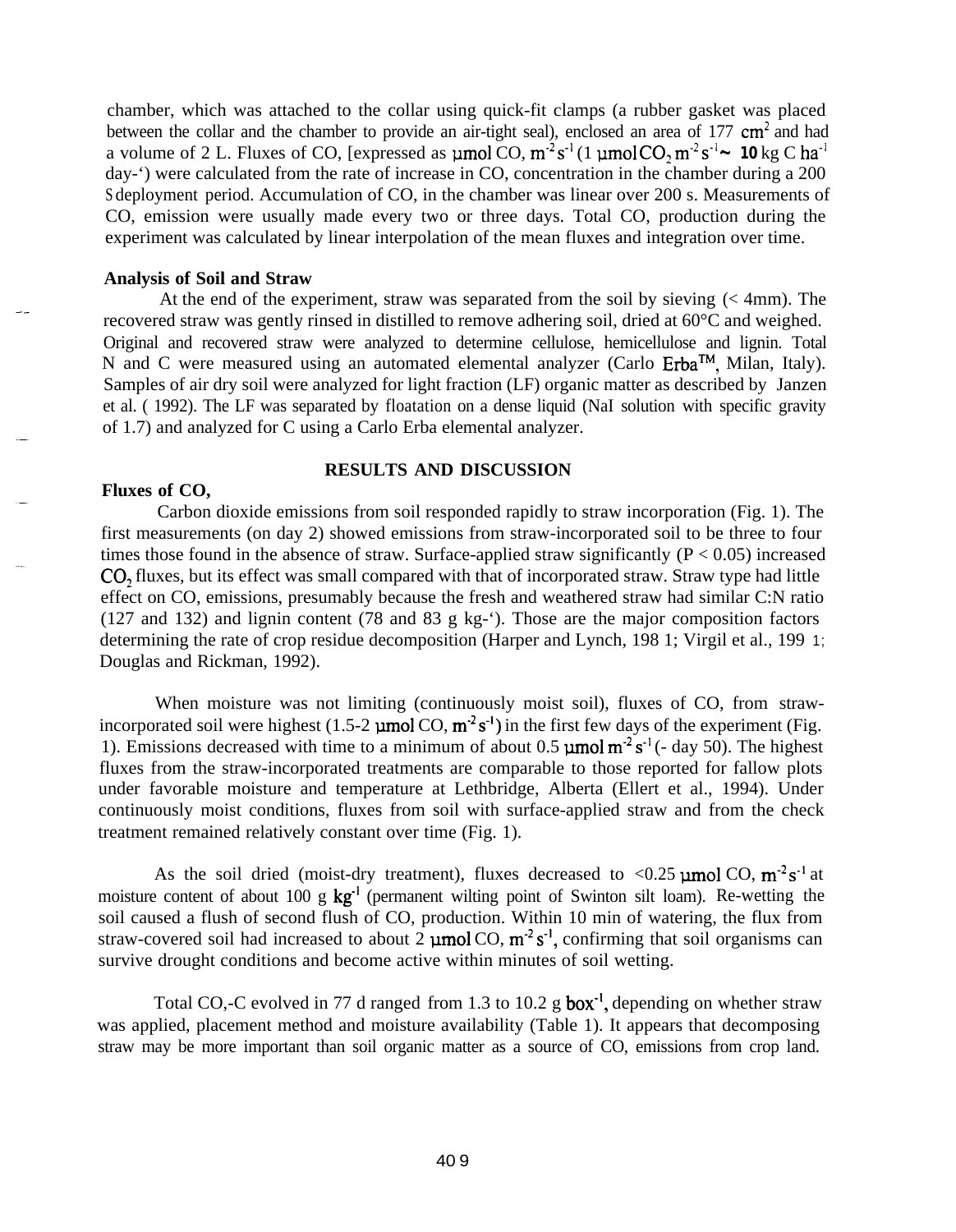chamber, which was attached to the collar using quick-fit clamps (a rubber gasket was placed between the collar and the chamber to provide an air-tight seal), enclosed an area of  $177 \text{ cm}^2$  and had a volume of 2 L. Fluxes of CO, [expressed as  $\mu$ mol CO,  $m^2 s^{-1}$  (1  $\mu$ mol CO,  $m^2 s^{-1}$   $\sim$  10 kg C ha<sup>-1</sup> day-') were calculated from the rate of increase in CO, concentration in the chamber during a 200 S deployment period. Accumulation of CO, in the chamber was linear over 200 s. Measurements of CO, emission were usually made every two or three days. Total CO, production during the experiment was calculated by linear interpolation of the mean fluxes and integration over time.

### **Analysis of Soil and Straw**

At the end of the experiment, straw was separated from the soil by sieving (< 4mm). The recovered straw was gently rinsed in distilled to remove adhering soil, dried at 60°C and weighed. Original and recovered straw were analyzed to determine cellulose, hemicellulose and lignin. Total N and C were measured using an automated elemental analyzer (Carlo  $Erba^{TM}$ , Milan, Italy). Samples of air dry soil were analyzed for light fraction (LF) organic matter as described by Janzen et al. ( 1992). The LF was separated by floatation on a dense liquid (NaI solution with specific gravity of 1.7) and analyzed for C using a Carlo Erba elemental analyzer.

#### **RESULTS AND DISCUSSION**

## **Fluxes of CO,**

Carbon dioxide emissions from soil responded rapidly to straw incorporation (Fig. 1). The first measurements (on day 2) showed emissions from straw-incorporated soil to be three to four times those found in the absence of straw. Surface-applied straw significantly  $(P < 0.05)$  increased CO<sub>2</sub> fluxes, but its effect was small compared with that of incorporated straw. Straw type had little effect on CO, emissions, presumably because the fresh and weathered straw had similar C:N ratio (127 and 132) and lignin content (78 and 83 g kg-'). Those are the major composition factors determining the rate of crop residue decomposition (Harper and Lynch, 198 1; Virgil et al., 199 1; Douglas and Rickman, 1992).

When moisture was not limiting (continuously moist soil), fluxes of CO, from strawincorporated soil were highest (1.5-2  $\mu$ mol CO,  $m^2 s^{-1}$ ) in the first few days of the experiment (Fig. 1). Emissions decreased with time to a minimum of about 0.5  $\mu$ mol m<sup>-2</sup> s<sup>-1</sup> (- day 50). The highest fluxes from the straw-incorporated treatments are comparable to those reported for fallow plots under favorable moisture and temperature at Lethbridge, Alberta (Ellert et al., 1994). Under continuously moist conditions, fluxes from soil with surface-applied straw and from the check treatment remained relatively constant over time (Fig. 1).

As the soil dried (moist-dry treatment), fluxes decreased to <0.25  $\mu$ mol CO, m<sup>-2</sup> s<sup>-1</sup> at moisture content of about 100 g kg<sup>-1</sup> (permanent wilting point of Swinton silt loam). Re-wetting the soil caused a flush of second flush of CO, production. Within 10 min of watering, the flux from straw-covered soil had increased to about 2  $\mu$ mol CO,  $m^2 s^{-1}$ , confirming that soil organisms can survive drought conditions and become active within minutes of soil wetting.

Total CO,-C evolved in 77 d ranged from 1.3 to 10.2 g **box**<sup>-1</sup>, depending on whether straw was applied, placement method and moisture availability (Table 1). It appears that decomposing straw may be more important than soil organic matter as a source of CO, emissions from crop land.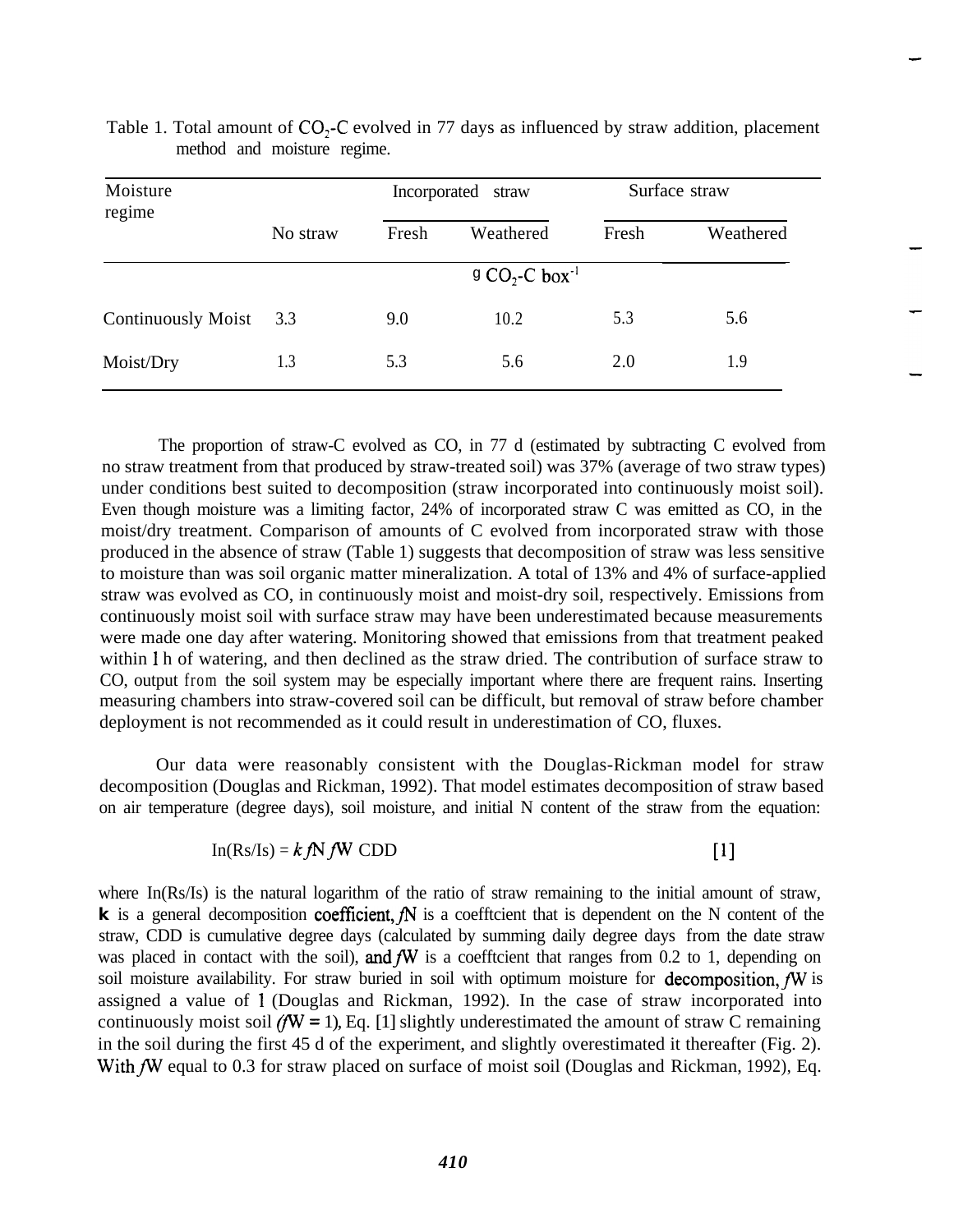| Moisture<br>regime        |                              | Incorporated<br>straw |           | Surface straw |           |  |  |
|---------------------------|------------------------------|-----------------------|-----------|---------------|-----------|--|--|
|                           | No straw                     | Fresh                 | Weathered | Fresh         | Weathered |  |  |
|                           | $9 CO2$ -C box <sup>-1</sup> |                       |           |               |           |  |  |
| <b>Continuously Moist</b> | 3.3                          | 9.0                   | 10.2      | 5.3           | 5.6       |  |  |
| Moist/Dry                 | 1.3                          | 5.3                   | 5.6       | 2.0           | 1.9       |  |  |

Table 1. Total amount of CO<sub>2</sub>-C evolved in 77 days as influenced by straw addition, placement method and moisture regime.

The proportion of straw-C evolved as CO, in 77 d (estimated by subtracting C evolved from no straw treatment from that produced by straw-treated soil) was 37% (average of two straw types) under conditions best suited to decomposition (straw incorporated into continuously moist soil). Even though moisture was a limiting factor, 24% of incorporated straw C was emitted as CO, in the moist/dry treatment. Comparison of amounts of C evolved from incorporated straw with those produced in the absence of straw (Table 1) suggests that decomposition of straw was less sensitive to moisture than was soil organic matter mineralization. A total of 13% and 4% of surface-applied straw was evolved as CO, in continuously moist and moist-dry soil, respectively. Emissions from continuously moist soil with surface straw may have been underestimated because measurements were made one day after watering. Monitoring showed that emissions from that treatment peaked within 1 h of watering, and then declined as the straw dried. The contribution of surface straw to CO, output from the soil system may be especially important where there are frequent rains. Inserting measuring chambers into straw-covered soil can be difficult, but removal of straw before chamber deployment is not recommended as it could result in underestimation of CO, fluxes.

Our data were reasonably consistent with the Douglas-Rickman model for straw decomposition (Douglas and Rickman, 1992). That model estimates decomposition of straw based on air temperature (degree days), soil moisture, and initial N content of the straw from the equation:

$$
In(Rs/Is) = k fN fW CDD
$$

 $[1]$ 

where In(Rs/Is) is the natural logarithm of the ratio of straw remaining to the initial amount of straw,  $\bf{k}$  is a general decomposition coefficient,  $\bf{f}$  is a coefficient that is dependent on the N content of the straw, CDD is cumulative degree days (calculated by summing daily degree days from the date straw was placed in contact with the soil), and  $fW$  is a coefftcient that ranges from 0.2 to 1, depending on soil moisture availability. For straw buried in soil with optimum moisture for decomposition,  $fW$  is assigned a value of 1 (Douglas and Rickman, 1992). In the case of straw incorporated into continuously moist soil  $f(\mathbf{W} = 1)$ , Eq. [1] slightly underestimated the amount of straw C remaining in the soil during the first 45 d of the experiment, and slightly overestimated it thereafter (Fig. 2). With fW equal to 0.3 for straw placed on surface of moist soil (Douglas and Rickman, 1992), Eq.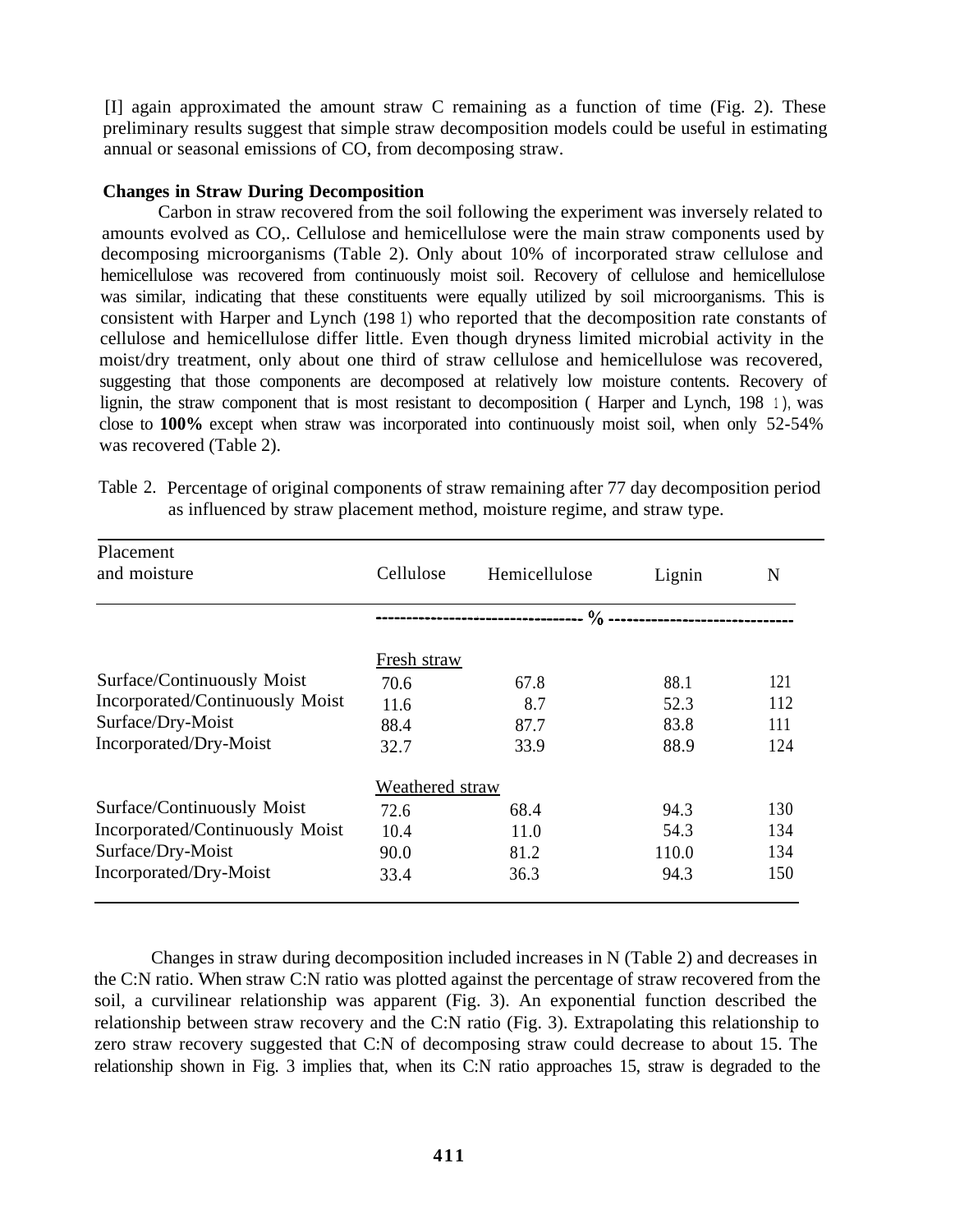[I] again approximated the amount straw C remaining as a function of time (Fig. 2). These preliminary results suggest that simple straw decomposition models could be useful in estimating annual or seasonal emissions of CO, from decomposing straw.

# **Changes in Straw During Decomposition**

Carbon in straw recovered from the soil following the experiment was inversely related to amounts evolved as CO,. Cellulose and hemicellulose were the main straw components used by decomposing microorganisms (Table 2). Only about 10% of incorporated straw cellulose and hemicellulose was recovered from continuously moist soil. Recovery of cellulose and hemicellulose was similar, indicating that these constituents were equally utilized by soil microorganisms. This is consistent with Harper and Lynch (198 1) who reported that the decomposition rate constants of cellulose and hemicellulose differ little. Even though dryness limited microbial activity in the moist/dry treatment, only about one third of straw cellulose and hemicellulose was recovered, suggesting that those components are decomposed at relatively low moisture contents. Recovery of lignin, the straw component that is most resistant to decomposition (Harper and Lynch, 198 1), was close to **100%** except when straw was incorporated into continuously moist soil, when only 52-54% was recovered (Table 2).

| Placement                       |                 |               |        |     |  |
|---------------------------------|-----------------|---------------|--------|-----|--|
| and moisture                    | Cellulose       | Hemicellulose | Lignin | N   |  |
|                                 |                 |               |        |     |  |
|                                 | Fresh straw     |               |        |     |  |
| Surface/Continuously Moist      | 70.6            | 67.8          | 88.1   | 121 |  |
| Incorporated/Continuously Moist | 11.6            | 8.7           | 52.3   | 112 |  |
| Surface/Dry-Moist               | 88.4            | 87.7          | 83.8   | 111 |  |
| Incorporated/Dry-Moist          | 32.7            | 33.9          | 88.9   | 124 |  |
|                                 | Weathered straw |               |        |     |  |
| Surface/Continuously Moist      | 72.6            | 68.4          | 94.3   | 130 |  |
| Incorporated/Continuously Moist | 10.4            | 11.0          | 54.3   | 134 |  |
| Surface/Dry-Moist               | 90.0            | 81.2          | 110.0  | 134 |  |
| Incorporated/Dry-Moist          | 33.4            | 36.3          | 94.3   | 150 |  |

Table 2. Percentage of original components of straw remaining after 77 day decomposition period as influenced by straw placement method, moisture regime, and straw type.

Changes in straw during decomposition included increases in N (Table 2) and decreases in the C:N ratio. When straw C:N ratio was plotted against the percentage of straw recovered from the soil, a curvilinear relationship was apparent (Fig. 3). An exponential function described the relationship between straw recovery and the C:N ratio (Fig. 3). Extrapolating this relationship to zero straw recovery suggested that C:N of decomposing straw could decrease to about 15. The relationship shown in Fig. 3 implies that, when its C:N ratio approaches 15, straw is degraded to the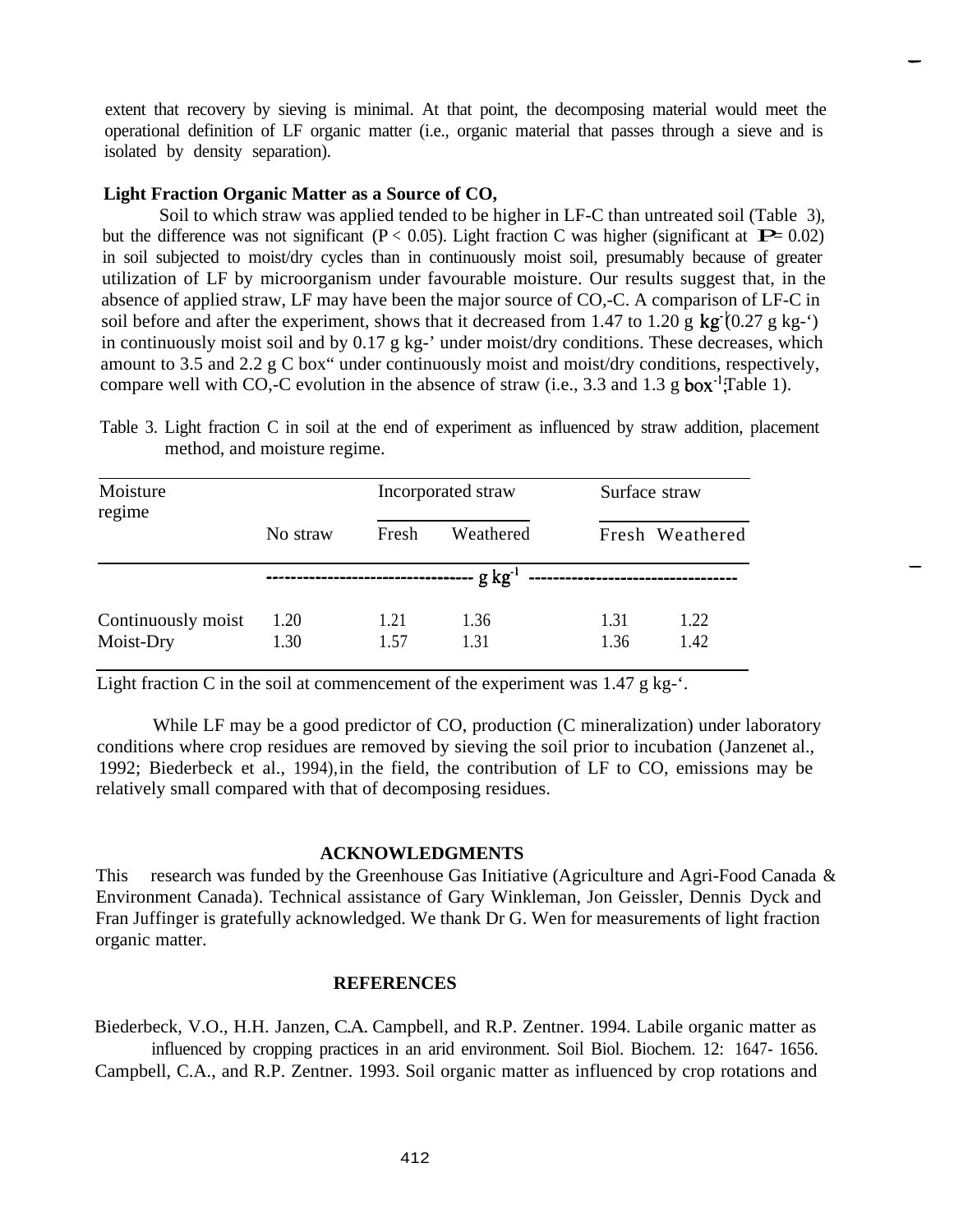extent that recovery by sieving is minimal. At that point, the decomposing material would meet the operational definition of LF organic matter (i.e., organic material that passes through a sieve and is isolated by density separation).

#### **Light Fraction Organic Matter as a Source of CO,**

Soil to which straw was applied tended to be higher in LF-C than untreated soil (Table 3), but the difference was not significant ( $P < 0.05$ ). Light fraction C was higher (significant at  $P = 0.02$ ) in soil subjected to moist/dry cycles than in continuously moist soil, presumably because of greater utilization of LF by microorganism under favourable moisture. Our results suggest that, in the absence of applied straw, LF may have been the major source of CO,-C. A comparison of LF-C in soil before and after the experiment, shows that it decreased from 1.47 to 1.20 g kg $(0.27 \text{ g kg} \cdot \text{'})$ in continuously moist soil and by 0.17 g kg-' under moist/dry conditions. These decreases, which amount to 3.5 and 2.2 g C box" under continuously moist and moist/dry conditions, respectively, compare well with CO,-C evolution in the absence of straw (i.e., 3.3 and 1.3 g box<sup>-1</sup>; Table 1).

Table 3. Light fraction C in soil at the end of experiment as influenced by straw addition, placement method, and moisture regime.

| Moisture<br>regime              | Incorporated straw |              |              | Surface straw |                 |
|---------------------------------|--------------------|--------------|--------------|---------------|-----------------|
|                                 | No straw           | Fresh        | Weathered    |               | Fresh Weathered |
|                                 | $\frac{1}{2}$      |              |              |               |                 |
| Continuously moist<br>Moist-Dry | 1.20<br>1.30       | 1.21<br>1.57 | 1.36<br>1.31 | 1.31<br>1.36  | 1.22<br>1.42    |

Light fraction C in the soil at commencement of the experiment was  $1.47 \text{ g kg}$ <sup>-</sup>.

While LF may be a good predictor of CO, production (C mineralization) under laboratory conditions where crop residues are removed by sieving the soil prior to incubation (Janzenet al., 1992; Biederbeck et al., 1994), in the field, the contribution of LF to CO, emissions may be relatively small compared with that of decomposing residues.

## **ACKNOWLEDGMENTS**

This research was funded by the Greenhouse Gas Initiative (Agriculture and Agri-Food Canada & Environment Canada). Technical assistance of Gary Winkleman, Jon Geissler, Dennis Dyck and Fran Juffinger is gratefully acknowledged. We thank Dr G. Wen for measurements of light fraction organic matter.

## **REFERENCES**

Biederbeck, V.O., H.H. Janzen, C.A. Campbell, and R.P. Zentner. 1994. Labile organic matter as influenced by cropping practices in an arid environment. Soil Biol. Biochem. 12: 1647- 1656. Campbell, C.A., and R.P. Zentner. 1993. Soil organic matter as influenced by crop rotations and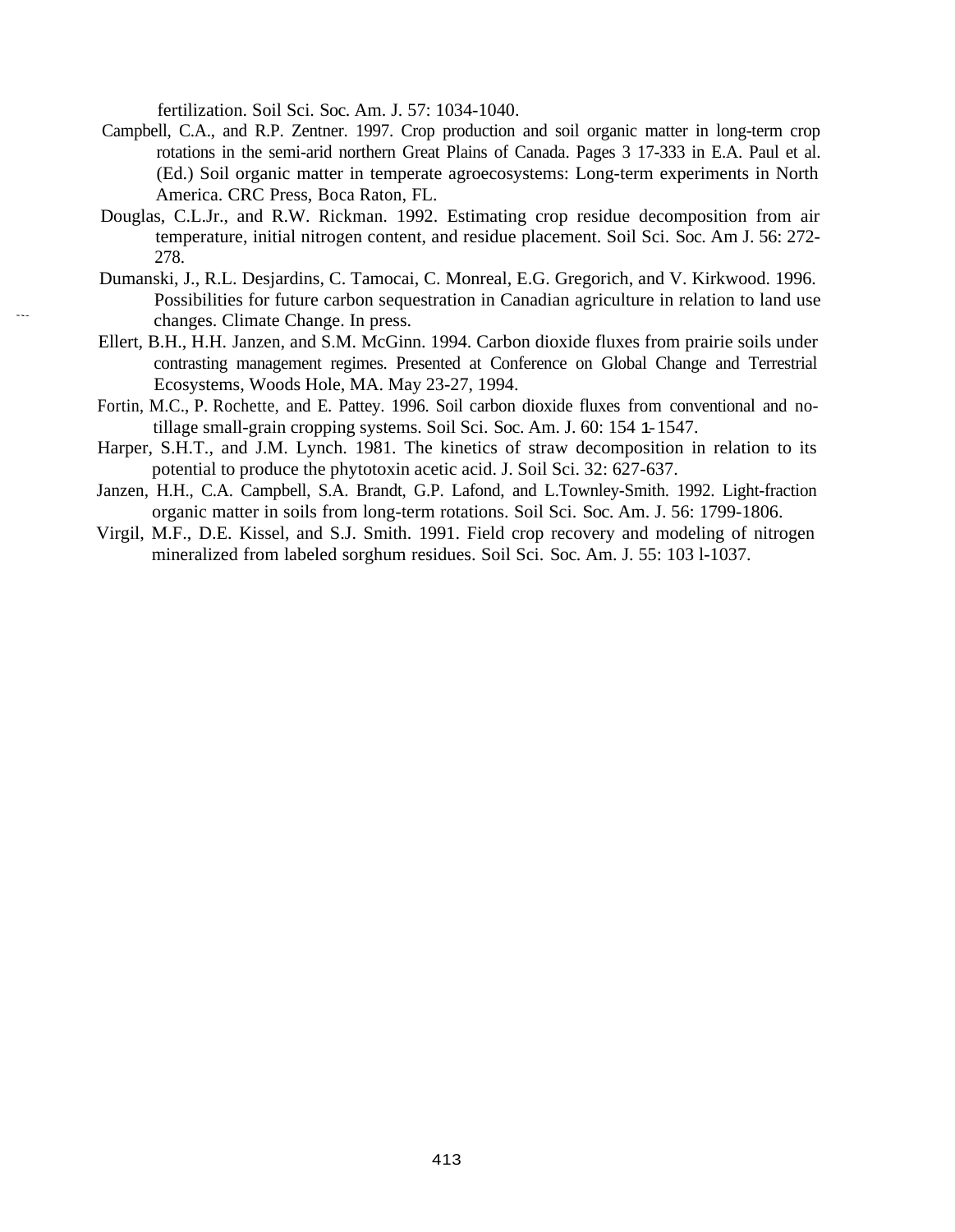fertilization. Soil Sci. Soc. Am. J. 57: 1034-1040.

- Campbell, C.A., and R.P. Zentner. 1997. Crop production and soil organic matter in long-term crop rotations in the semi-arid northern Great Plains of Canada. Pages 3 17-333 in E.A. Paul et al. (Ed.) Soil organic matter in temperate agroecosystems: Long-term experiments in North America. CRC Press, Boca Raton, FL.
- Douglas, C.L.Jr., and R.W. Rickman. 1992. Estimating crop residue decomposition from air temperature, initial nitrogen content, and residue placement. Soil Sci. Soc. Am J. 56: 272- 278.
- Dumanski, J., R.L. Desjardins, C. Tamocai, C. Monreal, E.G. Gregorich, and V. Kirkwood. 1996. Possibilities for future carbon sequestration in Canadian agriculture in relation to land use changes. Climate Change. In press.
- Ellert, B.H., H.H. Janzen, and S.M. McGinn. 1994. Carbon dioxide fluxes from prairie soils under contrasting management regimes. Presented at Conference on Global Change and Terrestrial Ecosystems, Woods Hole, MA. May 23-27, 1994.
- Fortin, M.C., P. Rochette, and E. Pattey. 1996. Soil carbon dioxide fluxes from conventional and notillage small-grain cropping systems. Soil Sci. Soc. Am. J. 60: 154 1- 1547.
- Harper, S.H.T., and J.M. Lynch. 1981. The kinetics of straw decomposition in relation to its potential to produce the phytotoxin acetic acid. J. Soil Sci. 32: 627-637.
- Janzen, H.H., C.A. Campbell, S.A. Brandt, G.P. Lafond, and L.Townley-Smith. 1992. Light-fraction organic matter in soils from long-term rotations. Soil Sci. Soc. Am. J. 56: 1799-1806.
- Virgil, M.F., D.E. Kissel, and S.J. Smith. 1991. Field crop recovery and modeling of nitrogen mineralized from labeled sorghum residues. Soil Sci. Soc. Am. J. 55: 103 l-1037.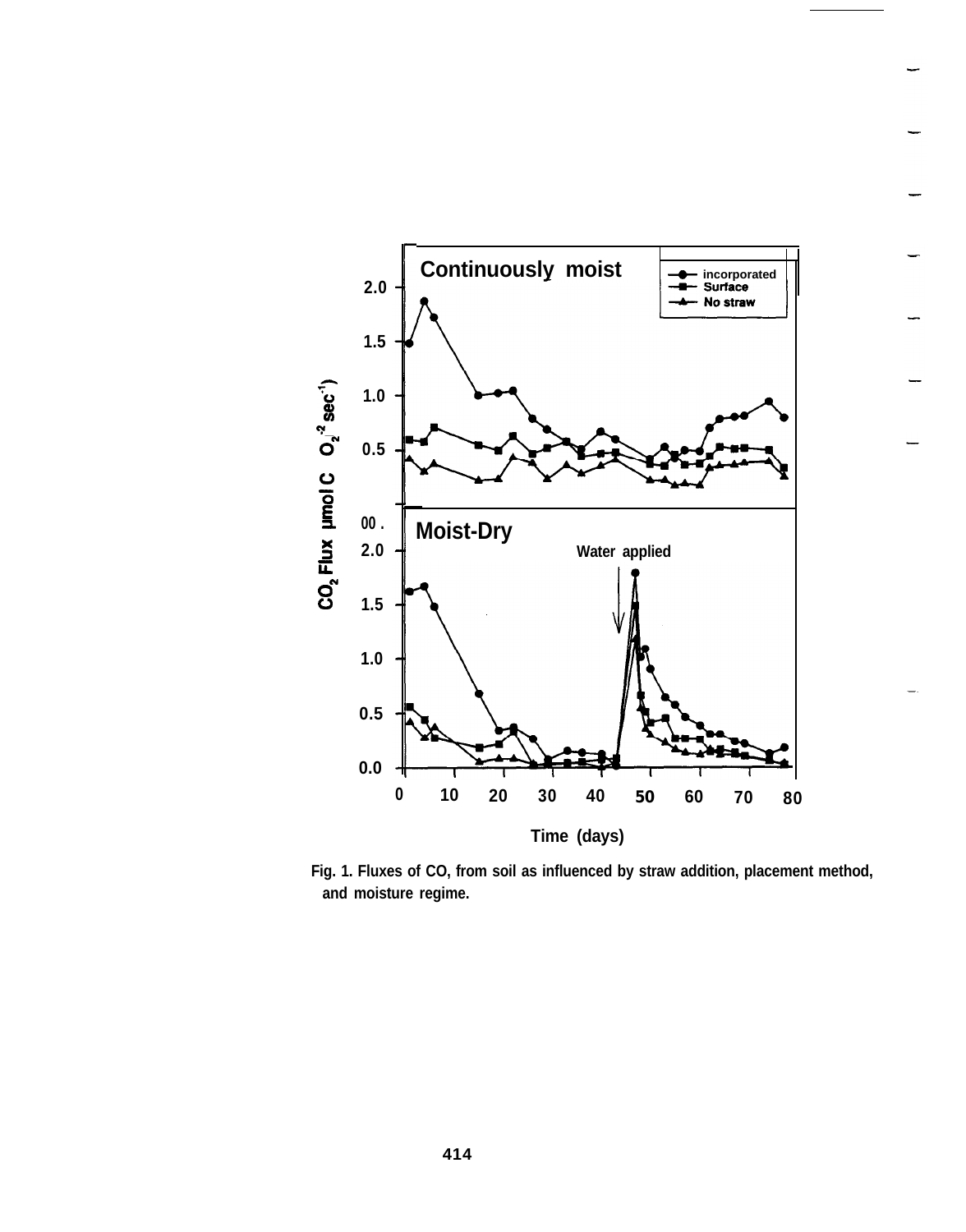

**Fig. 1. Fluxes of CO, from soil as influenced by straw addition, placement method, and moisture regime.**